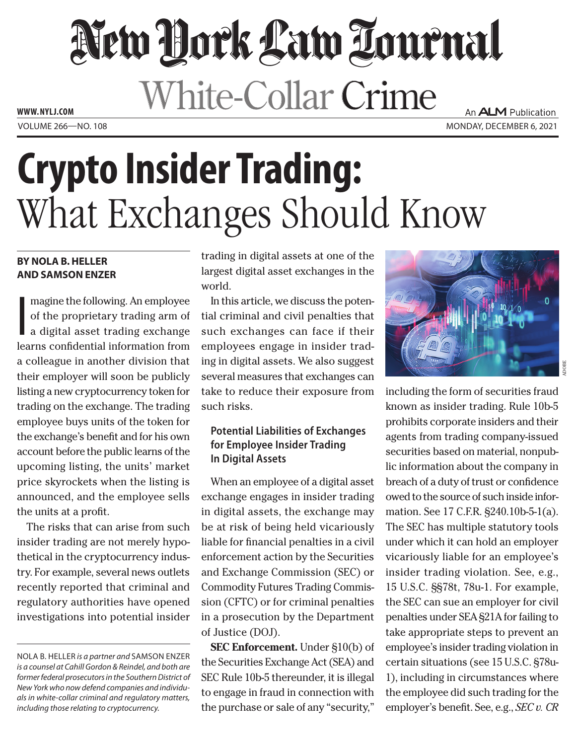# New Hork Law Lournal White-Collar Crime **WWW. NYLJ.COM**

An **ALM** Publication VOLUME 266—NO. 108 MONDAY, DECEMBER 6, 2021

# **Crypto Insider Trading:**  What Exchanges Should Know

#### **BY NOLA B. HELLER AND SAMSON ENZER**

I magine the following. An employee of the proprietary trading arm of a digital asset trading exchange learns confidential information from a colleague in another division that their employer will soon be publicly listing a new cryptocurrency token for trading on the exchange. The trading employee buys units of the token for the exchange's benefit and for his own account before the public learns of the upcoming listing, the units' market price skyrockets when the listing is announced, and the employee sells the units at a profit.

The risks that can arise from such insider trading are not merely hypothetical in the cryptocurrency industry. For example, several news outlets recently reported that criminal and regulatory authorities have opened investigations into potential insider

trading in digital assets at one of the largest digital asset exchanges in the world.

In this article, we discuss the potential criminal and civil penalties that such exchanges can face if their employees engage in insider trading in digital assets. We also suggest several measures that exchanges can take to reduce their exposure from such risks.

## **Potential Liabilities of Exchanges for Employee Insider Trading In Digital Assets**

When an employee of a digital asset exchange engages in insider trading in digital assets, the exchange may be at risk of being held vicariously liable for financial penalties in a civil enforcement action by the Securities and Exchange Commission (SEC) or Commodity Futures Trading Commission (CFTC) or for criminal penalties in a prosecution by the Department of Justice (DOJ).

**SEC Enforcement.** Under §10(b) of the Securities Exchange Act (SEA) and SEC Rule 10b-5 thereunder, it is illegal to engage in fraud in connection with the purchase or sale of any "security,"



including the form of securities fraud known as insider trading. Rule 10b-5 prohibits corporate insiders and their agents from trading company-issued securities based on material, nonpublic information about the company in breach of a duty of trust or confidence owed to the source of such inside information. See 17 C.F.R. §240.10b-5-1(a). The SEC has multiple statutory tools under which it can hold an employer vicariously liable for an employee's insider trading violation. See, e.g., 15 U.S.C. §§78t, 78u-1. For example, the SEC can sue an employer for civil penalties under SEA §21A for failing to take appropriate steps to prevent an employee's insider trading violation in certain situations (see 15 U.S.C. §78u-1), including in circumstances where the employee did such trading for the employer's benefit. See, e.g., *SEC v. CR* 

NOLA B. HELLER *is a partner and* SAMSON ENZER *is a counsel at Cahill Gordon & Reindel, and both are former federal prosecutors in the Southern District of New York who now defend companies and individuals in white-collar criminal and regulatory matters, including those relating to cryptocurrency.*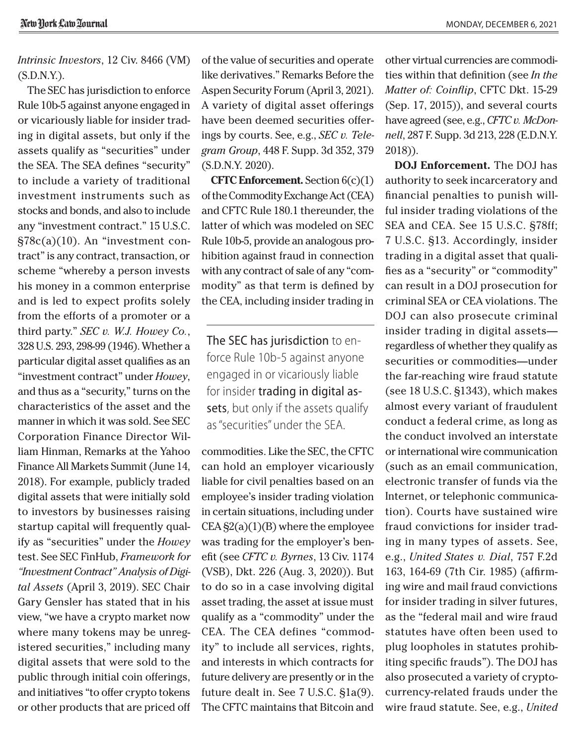*Intrinsic Investors*, 12 Civ. 8466 (VM) (S.D.N.Y.).

The SEC has jurisdiction to enforce Rule 10b-5 against anyone engaged in or vicariously liable for insider trading in digital assets, but only if the assets qualify as "securities" under the SEA. The SEA defines "security" to include a variety of traditional investment instruments such as stocks and bonds, and also to include any "investment contract." 15 U.S.C. §78c(a)(10). An "investment contract" is any contract, transaction, or scheme "whereby a person invests his money in a common enterprise and is led to expect profits solely from the efforts of a promoter or a third party." *SEC v. W.J. Howey Co.*, 328 U.S. 293, 298-99 (1946). Whether a particular digital asset qualifies as an "investment contract" under *Howey*, and thus as a "security," turns on the characteristics of the asset and the manner in which it was sold. See SEC Corporation Finance Director William Hinman, Remarks at the Yahoo Finance All Markets Summit (June 14, 2018). For example, publicly traded digital assets that were initially sold to investors by businesses raising startup capital will frequently qualify as "securities" under the *Howey*  test. See SEC FinHub, *Framework for "Investment Contract" Analysis of Digital Assets* (April 3, 2019). SEC Chair Gary Gensler has stated that in his view, "we have a crypto market now where many tokens may be unregistered securities," including many digital assets that were sold to the public through initial coin offerings, and initiatives "to offer crypto tokens or other products that are priced off

of the value of securities and operate like derivatives." Remarks Before the Aspen Security Forum (April 3, 2021). A variety of digital asset offerings have been deemed securities offerings by courts. See, e.g., *SEC v. Telegram Group*, 448 F. Supp. 3d 352, 379 (S.D.N.Y. 2020).

**CFTC Enforcement.** Section 6(c)(1) of the Commodity Exchange Act (CEA) and CFTC Rule 180.1 thereunder, the latter of which was modeled on SEC Rule 10b-5, provide an analogous prohibition against fraud in connection with any contract of sale of any "commodity" as that term is defined by the CEA, including insider trading in

The SEC has jurisdiction to enforce Rule 10b-5 against anyone engaged in or vicariously liable for insider trading in digital assets, but only if the assets qualify as "securities" under the SEA.

commodities. Like the SEC, the CFTC can hold an employer vicariously liable for civil penalties based on an employee's insider trading violation in certain situations, including under  $CEA \S2(a)(1)(B)$  where the employee was trading for the employer's benefit (see *CFTC v. Byrnes*, 13 Civ. 1174 (VSB), Dkt. 226 (Aug. 3, 2020)). But to do so in a case involving digital asset trading, the asset at issue must qualify as a "commodity" under the CEA. The CEA defines "commodity" to include all services, rights, and interests in which contracts for future delivery are presently or in the future dealt in. See 7 U.S.C. §1a(9). The CFTC maintains that Bitcoin and other virtual currencies are commodities within that definition (see *In the Matter of: Coinflip*, CFTC Dkt. 15-29 (Sep. 17, 2015)), and several courts have agreed (see, e.g., *CFTC v. McDonnell*, 287 F. Supp. 3d 213, 228 (E.D.N.Y. 2018)).

**DOJ Enforcement.** The DOJ has authority to seek incarceratory and financial penalties to punish willful insider trading violations of the SEA and CEA. See 15 U.S.C. §78ff; 7 U.S.C. §13. Accordingly, insider trading in a digital asset that qualifies as a "security" or "commodity" can result in a DOJ prosecution for criminal SEA or CEA violations. The DOJ can also prosecute criminal insider trading in digital assets regardless of whether they qualify as securities or commodities—under the far-reaching wire fraud statute (see 18 U.S.C. §1343), which makes almost every variant of fraudulent conduct a federal crime, as long as the conduct involved an interstate or international wire communication (such as an email communication, electronic transfer of funds via the Internet, or telephonic communication). Courts have sustained wire fraud convictions for insider trading in many types of assets. See, e.g., *United States v. Dial*, 757 F.2d 163, 164-69 (7th Cir. 1985) (affirming wire and mail fraud convictions for insider trading in silver futures, as the "federal mail and wire fraud statutes have often been used to plug loopholes in statutes prohibiting specific frauds"). The DOJ has also prosecuted a variety of cryptocurrency-related frauds under the wire fraud statute. See, e.g., *United*